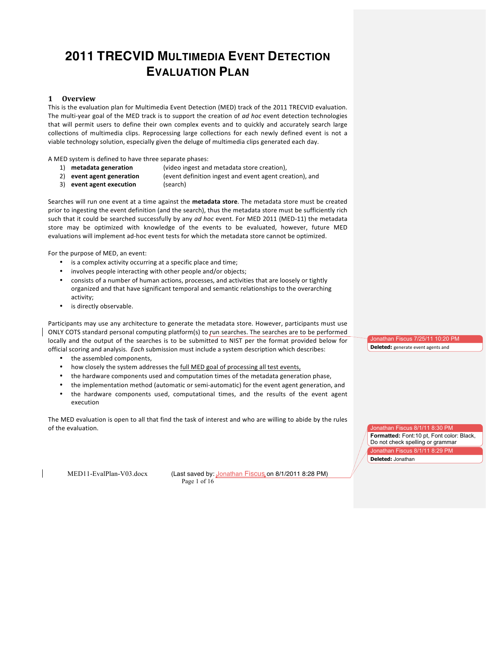# **2011 TRECVID MULTIMEDIA EVENT DETECTION EVALUATION PLAN**

## **1** Overview

This is the evaluation plan for Multimedia Event Detection (MED) track of the 2011 TRECVID evaluation. The multi-year goal of the MED track is to support the creation of *ad hoc* event detection technologies that will permit users to define their own complex events and to quickly and accurately search large collections of multimedia clips. Reprocessing large collections for each newly defined event is not a viable technology solution, especially given the deluge of multimedia clips generated each day.

A MED system is defined to have three separate phases:

- 
- 1) **metadata generation** (video ingest and metadata store creation),
- -

2) **event agent generation** (event definition ingest and event agent creation), and

3) **event agent execution** (search)

Searches will run one event at a time against the metadata store. The metadata store must be created prior to ingesting the event definition (and the search), thus the metadata store must be sufficiently rich such that it could be searched successfully by any *ad hoc* event. For MED 2011 (MED-11) the metadata store may be optimized with knowledge of the events to be evaluated, however, future MED evaluations will implement ad-hoc event tests for which the metadata store cannot be optimized.

For the purpose of MED, an event:

- is a complex activity occurring at a specific place and time;
- involves people interacting with other people and/or objects;
- consists of a number of human actions, processes, and activities that are loosely or tightly organized and that have significant temporal and semantic relationships to the overarching activity;
- is directly observable.

Participants may use any architecture to generate the metadata store. However, participants must use ONLY COTS standard personal computing platform(s) to run searches. The searches are to be performed locally and the output of the searches is to be submitted to NIST per the format provided below for official scoring and analysis. Each submission must include a system description which describes:

- the assembled components,
- how closely the system addresses the full MED goal of processing all test events,
- the hardware components used and computation times of the metadata generation phase,
- the implementation method (automatic or semi-automatic) for the event agent generation, and the hardware components used, computational times, and the results of the event agent
- execution

The MED evaluation is open to all that find the task of interest and who are willing to abide by the rules of the evaluation.

MED11-EvalPlan-V03.docx (Last saved by: Jonathan Fiscus on 8/1/2011 8:28 PM) Page 1 of 16

Jonathan Fiscus 7/25/11 10:20 PM **Deleted:** generate event agents and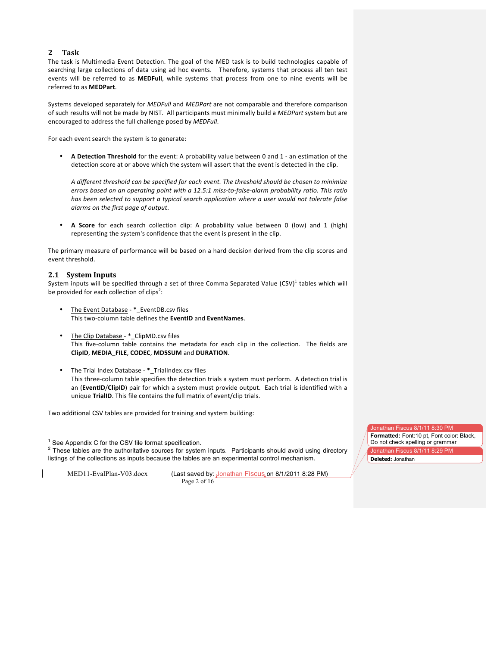## **2 Task**

The task is Multimedia Event Detection. The goal of the MED task is to build technologies capable of searching large collections of data using ad hoc events. Therefore, systems that process all ten test events will be referred to as **MEDFull**, while systems that process from one to nine events will be referred to as **MEDPart**.

Systems developed separately for *MEDFull* and *MEDPart* are not comparable and therefore comparison of such results will not be made by NIST. All participants must minimally build a *MEDPart* system but are encouraged to address the full challenge posed by *MEDFull*.

For each event search the system is to generate:

• A Detection Threshold for the event: A probability value between 0 and 1 - an estimation of the detection score at or above which the system will assert that the event is detected in the clip.

A different threshold can be specified for each event. The threshold should be chosen to minimize *errors based on an operating point with a 12.5:1 miss-to-false-alarm probability ratio. This ratio* has been selected to support a typical search application where a user would not tolerate false *alarms on the first page of output.* 

A Score for each search collection clip: A probability value between 0 (low) and 1 (high) representing the system's confidence that the event is present in the clip.

The primary measure of performance will be based on a hard decision derived from the clip scores and event threshold.

## **2.1 System Inputs**

System inputs will be specified through a set of three Comma Separated Value (CSV)<sup>1</sup> tables which will be provided for each collection of clips<sup>2</sup>:

- The Event Database \*\_EventDB.csv files This%twoBcolumn%table%defines%the%**EventID** and%**EventNames**.
- The Clip Database \*\_ClipMD.csv files This five-column table contains the metadata for each clip in the collection. The fields are **ClipID**,%**MEDIA\_FILE**,%**CODEC**,%**MD5SUM** and%**DURATION**.
- The Trial Index Database \*\_TrialIndex.csv files This three-column table specifies the detection trials a system must perform. A detection trial is an (**EventID/ClipID**) pair for which a system must provide output. Each trial is identified with a unique TrialID. This file contains the full matrix of event/clip trials.

Two additional CSV tables are provided for training and system building:

MED11-EvalPlan-V03.docx (Last saved by: Jonathan Fiscus on 8/1/2011 8:28 PM) Page 2 of 16

Jonathan Fiscus 8/1/11 8:30 PM **Formatted:** Font:10 pt, Font color: Black, Do not check spelling or grammar onathan Fiscus 8/1/11 8:29 PM

**Deleted:** Jonathan

See Appendix C for the CSV file format specification.

<sup>&</sup>lt;sup>2</sup> These tables are the authoritative sources for system inputs. Participants should avoid using directory listings of the collections as inputs because the tables are an experimental control mechanism.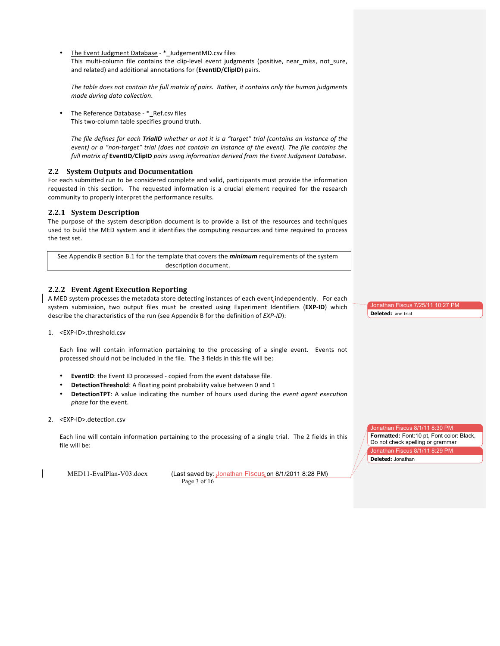The Event Judgment Database - \*\_JudgementMD.csv files This multi-column file contains the clip-level event judgments (positive, near\_miss, not\_sure, and related) and additional annotations for (**EventID/ClipID**) pairs.

The table does not contain the full matrix of pairs. Rather, it contains only the human judgments *made during data collection.* 

The Reference Database - \*\_Ref.csv files This two-column table specifies ground truth.

*The file defines for each TrialID whether or not it is a "target" trial (contains an instance of the event) or a "non-target" trial (does not contain an instance of the event). The file contains the full matrix of EventID/ClipID pairs using information derived from the Event Judgment Database.* 

## **2.2 System Outputs and Documentation**

For each submitted run to be considered complete and valid, participants must provide the information requested in this section. The requested information is a crucial element required for the research community to properly interpret the performance results.

## **2.2.1 System Description**

The purpose of the system description document is to provide a list of the resources and techniques used to build the MED system and it identifies the computing resources and time required to process the test set.

See Appendix B section B.1 for the template that covers the *minimum* requirements of the system description document.

## **2.2.2 Event Agent Execution Reporting**

A MED system processes the metadata store detecting instances of each event independently. For each system submission, two output files must be created using Experiment Identifiers (EXP-ID) which describe the characteristics of the run (see Appendix B for the definition of *EXP-ID*):

1. <EXP-ID>.threshold.csv

Each line will contain information pertaining to the processing of a single event. Events not processed should not be included in the file. The 3 fields in this file will be:

- EventID: the Event ID processed copied from the event database file.
- **DetectionThreshold**: A floating point probability value between 0 and 1
- **DetectionTPT**: A value indicating the number of hours used during the event agent execution *phase* for the event.
- 2. <EXP-ID>.detection.csv

Each line will contain information pertaining to the processing of a single trial. The 2 fields in this file will be:

MED11-EvalPlan-V03.docx (Last saved by: Jonathan Fiscus on 8/1/2011 8:28 PM) Page 3 of 16

Jonathan Fiscus 7/25/11 10:27 PM **Deleted:** and trial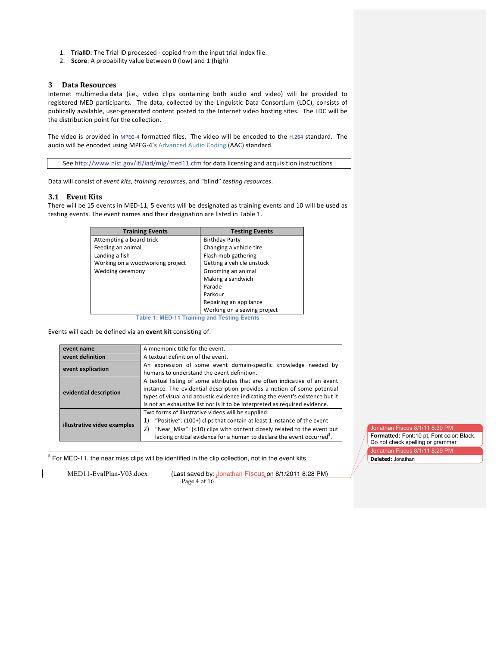- 1. **TrialID**: The Trial ID processed copied from the input trial index file.
- 2. **Score**: A probability value between 0 (low) and 1 (high)

#### **3 Data Resources**

Internet multimedia data (i.e., video clips containing both audio and video) will be provided to registered MED participants. The data, collected by the Linguistic Data Consortium (LDC), consists of publically available, user-generated content posted to the Internet video hosting sites. The LDC will be the distribution point for the collection.

The video is provided in MPEG-4 formatted files. The video will be encoded to the H.264 standard. The audio will be encoded using MPEG-4's Advanced Audio Coding (AAC) standard.

See http://www.nist.gov/itl/iad/mig/med11.cfm for data licensing and acquisition instructions

Data will consist of *event kits*, *training resources*, and "blind" *testing resources*.

## **3.1 Event Kits**

There will be 15 events in MED-11, 5 events will be designated as training events and 10 will be used as testing events. The event names and their designation are listed in Table 1.

| <b>Testing Events</b>                      |
|--------------------------------------------|
| <b>Birthday Party</b>                      |
| Changing a vehicle tire                    |
| Flash mob gathering                        |
| Getting a vehicle unstuck                  |
| Grooming an animal                         |
| Making a sandwich                          |
| Parade                                     |
| Parkour                                    |
| Repairing an appliance                     |
| Working on a sewing project                |
| Table 4: MED 44 Teatrice and Tables Evants |

**Table 1: MED-11 Training and Testing Events**

Events will each be defined via an **event kit** consisting of:

| event name                  | A mnemonic title for the event.                                                    |
|-----------------------------|------------------------------------------------------------------------------------|
| event definition            | A textual definition of the event.                                                 |
| event explication           | An expression of some event domain-specific knowledge needed by                    |
|                             | humans to understand the event definition.                                         |
|                             | A textual listing of some attributes that are often indicative of an event         |
| evidential description      | instance. The evidential description provides a notion of some potential           |
|                             | types of visual and acoustic evidence indicating the event's existence but it      |
|                             | is not an exhaustive list nor is it to be interpreted as required evidence.        |
|                             | Two forms of illustrative videos will be supplied:                                 |
|                             | "Positive": (100+) clips that contain at least 1 instance of the event<br>1)       |
| illustrative video examples | "Near Miss": (<10) clips with content closely related to the event but<br>2)       |
|                             | lacking critical evidence for a human to declare the event occurred <sup>3</sup> . |

 $3$  For MED-11, the near miss clips will be identified in the clip collection, not in the event kits.

MED11-EvalPlan-V03.docx (Last saved by: Jonathan Fiscus on 8/1/2011 8:28 PM) Page 4 of 16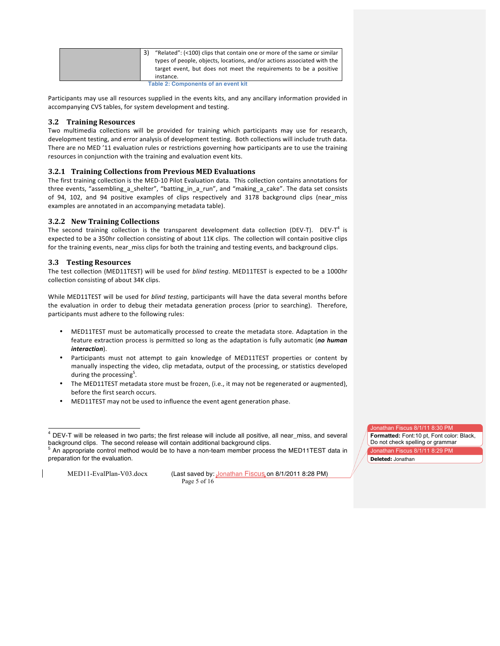| "Related": (<100) clips that contain one or more of the same or similar<br>types of people, objects, locations, and/or actions associated with the<br>target event, but does not meet the requirements to be a positive<br>instance. |
|--------------------------------------------------------------------------------------------------------------------------------------------------------------------------------------------------------------------------------------|
| <b>Table 2: Components of an event kit</b>                                                                                                                                                                                           |

Participants may use all resources supplied in the events kits, and any ancillary information provided in accompanying CVS tables, for system development and testing.

## **3.2 Training Resources**

Two multimedia collections will be provided for training which participants may use for research, development testing, and error analysis of development testing. Both collections will include truth data. There are no MED '11 evaluation rules or restrictions governing how participants are to use the training resources in conjunction with the training and evaluation event kits.

#### **3.2.1 Training Collections from Previous MED Evaluations**

The first training collection is the MED-10 Pilot Evaluation data. This collection contains annotations for three events, "assembling\_a\_shelter", "batting\_in\_a\_run", and "making\_a\_cake". The data set consists of 94, 102, and 94 positive examples of clips respectively and 3178 background clips (near\_miss examples are annotated in an accompanying metadata table).

#### **3.2.2** New Training Collections

The second training collection is the transparent development data collection (DEV-T). DEV-T<sup>4</sup> is expected to be a 350hr collection consisting of about 11K clips. The collection will contain positive clips for the training events, near\_miss clips for both the training and testing events, and background clips.

#### **3.3 Testing Resources**

The test collection (MED11TEST) will be used for *blind testing*. MED11TEST is expected to be a 1000hr collection consisting of about 34K clips.

While MED11TEST will be used for blind testing, participants will have the data several months before the evaluation in order to debug their metadata generation process (prior to searching). Therefore, participants must adhere to the following rules:

- MED11TEST must be automatically processed to create the metadata store. Adaptation in the feature extraction process is permitted so long as the adaptation is fully automatic (no human *interaction*).
- Participants must not attempt to gain knowledge of MED11TEST properties or content by manually inspecting the video, clip metadata, output of the processing, or statistics developed during the processing<sup>5</sup>.
- The MED11TEST metadata store must be frozen, (i.e., it may not be regenerated or augmented), before the first search occurs.
- MED11TEST may not be used to influence the event agent generation phase.

MED11-EvalPlan-V03.docx (Last saved by: Jonathan Fiscus on 8/1/2011 8:28 PM) Page 5 of 16

 <sup>4</sup> DEV-T will be released in two parts; the first release will include all positive, all near\_miss, and several background clips. The second release will contain additional background clips.<br><sup>5</sup> An appropriate control method would be to have a non-team member process the MED11TEST data in

preparation for the evaluation.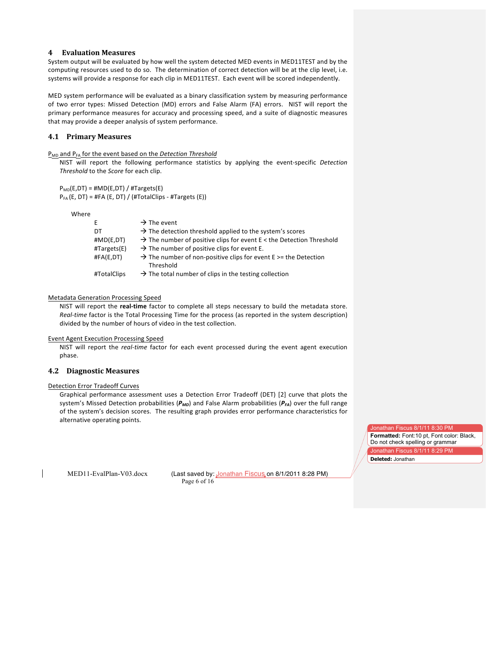## **4 Evaluation(Measures**

System output will be evaluated by how well the system detected MED events in MED11TEST and by the computing resources used to do so. The determination of correct detection will be at the clip level, i.e. systems will provide a response for each clip in MED11TEST. Each event will be scored independently.

MED system performance will be evaluated as a binary classification system by measuring performance of two error types: Missed Detection (MD) errors and False Alarm (FA) errors. NIST will report the primary performance measures for accuracy and processing speed, and a suite of diagnostic measures that may provide a deeper analysis of system performance.

## **4.1 Primary(Measures**

P<sub>MD</sub> and P<sub>FA</sub> for the event based on the Detection Threshold

NIST will report the following performance statistics by applying the event-specific Detection *Threshold* to the *Score* for each clip.

 $P_{MD}(E,DT) = #MD(E,DT) / #Targest(E)$  $P_{FA}$ (E, DT) = #FA (E, DT) / (#TotalClips - #Targets (E))

Where

| E.                   | $\rightarrow$ The event                                                                     |
|----------------------|---------------------------------------------------------------------------------------------|
| DT                   | $\rightarrow$ The detection threshold applied to the system's scores                        |
| $\#MD(E,DT)$         | $\rightarrow$ The number of positive clips for event E < the Detection Threshold            |
| $\#Targest(E)$       | $\rightarrow$ The number of positive clips for event E.                                     |
| $\texttt{HFA}(E,DT)$ | $\rightarrow$ The number of non-positive clips for event E $>$ = the Detection<br>Threshold |
| #TotalClips          | $\rightarrow$ The total number of clips in the testing collection                           |

#### Metadata Generation Processing Speed

NIST will report the *real-time* factor to complete all steps necessary to build the metadata store. *Real-time* factor is the Total Processing Time for the process (as reported in the system description) divided by the number of hours of video in the test collection.

#### **Event Agent Execution Processing Speed**

NIST will report the *real-time* factor for each event processed during the event agent execution phase.

## **4.2 Diagnostic Measures**

## Detection Error Tradeoff Curves

Graphical performance assessment uses a Detection Error Tradeoff (DET) [2] curve that plots the system's Missed Detection probabilities ( $P_{MD}$ ) and False Alarm probabilities ( $P_{FA}$ ) over the full range of the system's decision scores. The resulting graph provides error performance characteristics for alternative operating points.

MED11-EvalPlan-V03.docx (Last saved by: Jonathan Fiscus on 8/1/2011 8:28 PM) Page 6 of 16

Jonathan Fiscus 8/1/11 8:30 PM **Formatted:** Font:10 pt, Font color: Black, Do not check spelling or grammar Jonathan Fiscus 8/1/11 8:29 PM

**Deleted:** Jonathan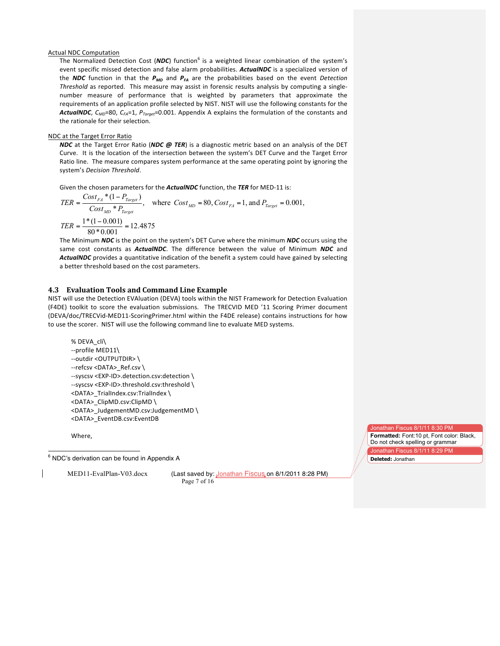#### **Actual NDC Computation**

The Normalized Detection Cost (*NDC*) function<sup>6</sup> is a weighted linear combination of the system's event specific missed detection and false alarm probabilities. ActualNDC is a specialized version of the *NDC* function in that the  $P_{MD}$  and  $P_{FA}$  are the probabilities based on the event *Detection Threshold* as reported. This measure may assist in forensic results analysis by computing a singlenumber measure of performance that is weighted by parameters that approximate the requirements of an application profile selected by NIST. NIST will use the following constants for the *ActualNDC*, *C<sub>MD</sub>*=80, *C<sub>FA</sub>*=1, *P<sub>Target</sub>*=0.001. Appendix A explains the formulation of the constants and the rationale for their selection.

## NDC at the Target Error Ratio

*NDC* at the Target Error Ratio (*NDC @ TER*) is a diagnostic metric based on an analysis of the DET Curve. It is the location of the intersection between the system's DET Curve and the Target Error Ratio line. The measure compares system performance at the same operating point by ignoring the system's *Decision* Threshold.

Given the chosen parameters for the *ActualNDC* function, the *TER* for MED-11 is:

$$
TER = \frac{Cost_{FA} * (1 - P_{Target})}{Cost_{MD} * P_{Target}}, \text{ where } Cost_{MD} = 80, Cost_{FA} = 1, \text{ and } P_{Target} = 0.001,
$$
  

$$
TER = \frac{1 * (1 - 0.001)}{80 * 0.001} = 12.4875
$$

The Minimum *NDC* is the point on the system's DET Curve where the minimum *NDC* occurs using the same cost constants as *ActualNDC*. The difference between the value of Minimum *NDC* and ActualNDC provides a quantitative indication of the benefit a system could have gained by selecting a better threshold based on the cost parameters.

#### **4.3 Evaluation Tools and Command Line Example**

NIST will use the Detection EVAluation (DEVA) tools within the NIST Framework for Detection Evaluation (F4DE) toolkit to score the evaluation submissions. The TRECVID MED '11 Scoring Primer document (DEVA/doc/TRECVid-MED11-ScoringPrimer.html within the F4DE release) contains instructions for how to use the scorer. NIST will use the following command line to evaluate MED systems.

```
%%DEVA_cli\
--profile MED11\
--outdir <OUTPUTDIR> \
--refcsv <DATA>_Ref.csv \
--syscsv <EXP-ID>.detection.csv:detection \
--syscsv <EXP-ID>.threshold.csv:threshold \
<DATA>_TrialIndex.csv:TrialIndex \
<DATA>_ClipMD.csv:ClipMD\
<DATA>_JudgementMD.csv:JudgementMD \
<DATA>_EventDB.csv:EventDB
```
Where,

6 NDC's derivation can be found in Appendix A

MED11-EvalPlan-V03.docx (Last saved by: Jonathan Fiscus on 8/1/2011 8:28 PM) Page 7 of 16

Jonathan Fiscus 8/1/11 8:30 PM

**Formatted:** Font:10 pt, Font color: Black, Do not check spelling or grammar onathan Fiscus 8/1/11 8:29 PM **Deleted:** Jonathan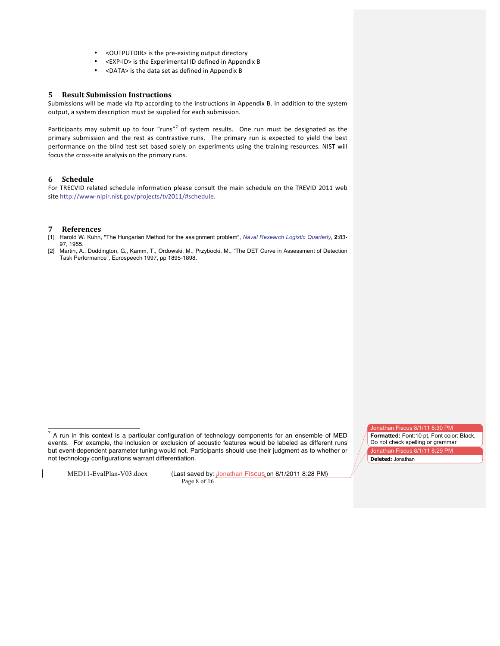- < OUTPUTDIR> is the pre-existing output directory
- <EXP-ID> is the Experimental ID defined in Appendix B
- <DATA> is the data set as defined in Appendix B

## **5 Result Submission Instructions**

Submissions will be made via ftp according to the instructions in Appendix B. In addition to the system output, a system description must be supplied for each submission.

Participants may submit up to four "runs"<sup>7</sup> of system results. One run must be designated as the primary submission and the rest as contrastive runs. The primary run is expected to yield the best performance on the blind test set based solely on experiments using the training resources. NIST will focus the cross-site analysis on the primary runs.

## **6 Schedule**

For TRECVID related schedule information please consult the main schedule on the TREVID 2011 web site http://www-nlpir.nist.gov/projects/tv2011/#schedule.

#### **7 References**

- [1] Harold W. Kuhn, "The Hungarian Method for the assignment problem", *Naval Research Logistic Quarterly*, **2**:83- 97, 1955.
- [2] Martin, A., Doddington, G., Kamm, T., Ordowski, M., Przybocki, M., "The DET Curve in Assessment of Detection Task Performance", Eurospeech 1997, pp 1895-1898.

MED11-EvalPlan-V03.docx (Last saved by: Jonathan Fiscus on 8/1/2011 8:28 PM) Page 8 of 16

Jonathan Fiscus 8/1/11 8:30 PM **Formatted:** Font:10 pt, Font color: Black,

Do not check spelling or grammar Jonathan Fiscus 8/1/11 8:29 PM **Deleted:** Jonathan

 $<sup>7</sup>$  A run in this context is a particular configuration of technology components for an ensemble of MED</sup> events. For example, the inclusion or exclusion of acoustic features would be labeled as different runs but event-dependent parameter tuning would not. Participants should use their judgment as to whether or not technology configurations warrant differentiation.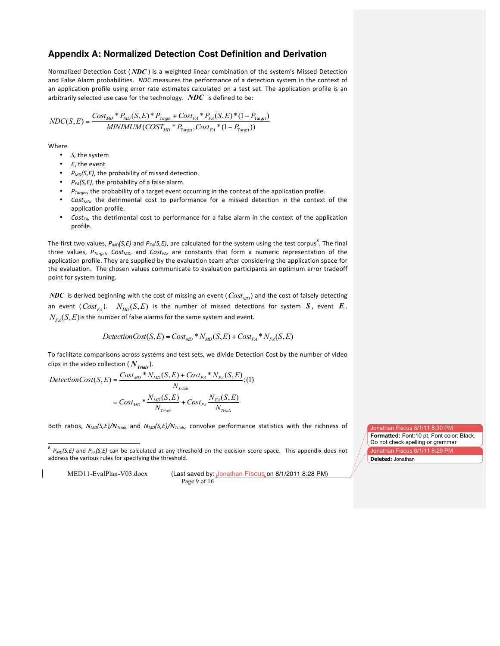## **Appendix A: Normalized Detection Cost Definition and Derivation**

Normalized Detection Cost (*NDC*) is a weighted linear combination of the system's Missed Detection and False Alarm probabilities. NDC measures the performance of a detection system in the context of an application profile using error rate estimates calculated on a test set. The application profile is an arbitrarily selected use case for the technology.  $\,N\!D\!C\,$  is defined to be:

$$
NDC(S, E) = \frac{Cost_{MD} * P_{MD}(S, E) * P_{Target} + Cost_{FA} * P_{FA}(S, E) * (1 - P_{Target})}{MINIMUM(COST_{MD} * P_{Target}, Cost_{FA} * (1 - P_{Target}))}
$$

Where

- S, the system
- $\bullet$  *E*, the event
- $P_{MD}(S, E)$ , the probability of missed detection.
- $P_{FA}(S, E)$ , the probability of a false alarm.
- $P_{\text{Toreet}}$ , the probability of a target event occurring in the context of the application profile.
- *Cost<sub>MD</sub>*, the detrimental cost to performance for a missed detection in the context of the application profile.
- *Cost<sub>FA</sub>*, the detrimental cost to performance for a false alarm in the context of the application profile.

The first two values,  $P_{MD}(S, E)$  and  $P_{FA}(S, E)$ , are calculated for the system using the test corpus<sup>8</sup>. The final three values, *P<sub>Target</sub>*, *Cost<sub>MD</sub>*, and *Cost<sub>FA</sub>*, are constants that form a numeric representation of the application profile. They are supplied by the evaluation team after considering the application space for the evaluation. The chosen values communicate to evaluation participants an optimum error tradeoff point for system tuning.

 $NDC$  is derived beginning with the cost of missing an event (  $Cost_{\overline{MD}}$  ) and the cost of falsely detecting an event ( $Cost_{FA}$ ).  $N_{MD}(S, E)$  is the number of missed detections for system  $\bm{S}$ , event  $\bm{E}$ .  $N_{FA}(S,E)$  *is* the number of false alarms for the same system and event.

$$
DelectionCost(S, E) = Cost_{MD} * N_{MD}(S, E) + Cost_{FA} * N_{FA}(S, E)
$$

To facilitate comparisons across systems and test sets, we divide Detection Cost by the number of video clips in the video collection ( $N_{\text{Trials}}$ ).

$$
DetectionCost(S, E) = \frac{Cost_{MD} * N_{MD}(S, E) + Cost_{FA} * N_{FA}(S, E)}{N_{trials}}; (1)
$$

$$
= Cost_{MD} * \frac{N_{MD}(S, E)}{N_{Trials}} + Cost_{FA} \frac{N_{FA}(S, E)}{N_{Trials}}
$$

Both ratios,  $N_{MD}(S, E)/N_{Trols}$  and  $N_{MD}(S, E)/N_{Trols}$ , convolve performance statistics with the richness of

MED11-EvalPlan-V03.docx (Last saved by: Jonathan Fiscus on 8/1/2011 8:28 PM) Page 9 of 16

<sup>&</sup>lt;sup>8</sup> *P<sub>MD</sub>*(S,E) and *P<sub>FA</sub>*(S,E) can be calculated at any threshold on the decision score space. This appendix does not address the various rules for specifying the threshold.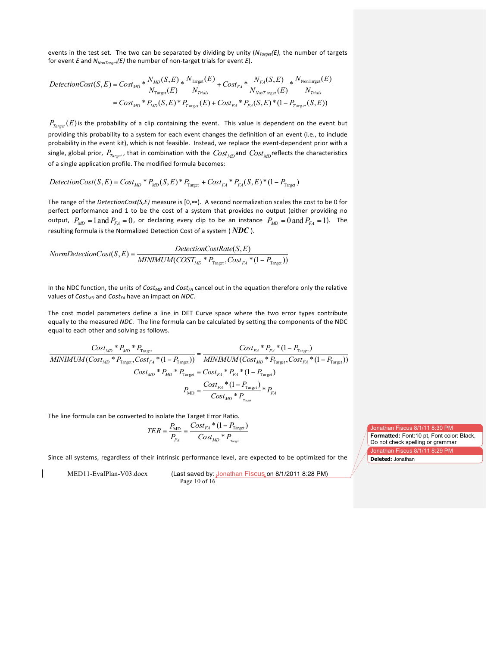events in the test set. The two can be separated by dividing by unity (*N<sub>Target</sub>(E)*, the number of targets for event *E* and  $N_{NonTarget}(E)$  the number of non-target trials for event *E*).

$$
DelectionCost(S, E) = Cost_{MD} * \frac{N_{MD}(S, E)}{N_{Target}(E)} * \frac{N_{Target}(E)}{N_{Trials}} + Cost_{FA} * \frac{N_{FA}(S, E)}{N_{NonTarget}(E)} * \frac{N_{NonTarget}(E)}{N_{Trials}}
$$
  
= Cost\_{MD} \* P\_{MD}(S, E) \* P\_{Target}(E) + Cost\_{FA} \* P\_{FA}(S, E) \* (1 - P\_{Target}(S, E))

 $P_{Target}(E)$  is the probability of a clip containing the event. This value is dependent on the event but providing this probability to a system for each event changes the definition of an event (i.e., to include probability in the event kit), which is not feasible. Instead, we replace the event-dependent prior with a single, global prior,  $P_{Target}$ , that in combination with the  $Cost_{MD}$  and  $Cost_{MD}$ reflects the characteristics of a single application profile. The modified formula becomes:

 $DetectionCost(S, E) = Cost_{MD} * P_{MD}(S, E) * P_{Target} + Cost_{FA} * P_{FA}(S, E) * (1 - P_{Target})$ 

The range of the *DetectionCost(S,E)* measure is  $[0, \infty)$ . A second normalization scales the cost to be 0 for perfect performance and 1 to be the cost of a system that provides no output (either providing no output,  $P_{MD} = 1$  and  $P_{FA} = 0$ , or declaring every clip to be an instance  $P_{MD} = 0$  and  $P_{FA} = 1$ ). The resulting formula is the Normalized Detection Cost of a system (  $NDC$  ).

$$
Norm DetectionCost(S, E) = \frac{ DetectionCostRate(S, E)}{MINIMUM(COST_{MD} * P_{Target}, Cost_{FA} * (1 - P_{Target}))}
$$

In the NDC function, the units of *Cost<sub>MD</sub>* and *Cost<sub>FA</sub>* cancel out in the equation therefore only the relative values of *Cost<sub>MD</sub>* and *Cost<sub>FA</sub>* have an impact on *NDC*.

The cost model parameters define a line in DET Curve space where the two error types contribute equally to the measured *NDC*. The line formula can be calculated by setting the components of the NDC equal to each other and solving as follows.

$$
\frac{Cost_{MD} * P_{MD} * P_{\text{Target}}}{MINIMUM(Cost_{MD} * P_{\text{Target}}, Cost_{FA} * (1 - P_{\text{Target}}))} = \frac{Cost_{FA} * P_{FA} * (1 - P_{\text{Target}})}{MINIMUM(Cost_{MD} * P_{\text{Target}}, Cost_{FA} * (1 - P_{\text{Target}}))}
$$

$$
Cost_{MD} * P_{MD} * P_{\text{Target}} = Cost_{FA} * P_{FA} * (1 - P_{\text{Target}})
$$

$$
P_{\text{MD}} = \frac{Cost_{FA} * (1 - P_{\text{Target}})}{Cost_{MD} * P_{\text{Target}}} * P_{FA}
$$

The line formula can be converted to isolate the Target Error Ratio.

$$
TER = \frac{P_{\text{MD}}}{P_{FA}} = \frac{Cost_{FA} * (1 - P_{\text{Target}})}{Cost_{MD} * P_{\text{Target}}}
$$

Since all systems, regardless of their intrinsic performance level, are expected to be optimized for the

MED11-EvalPlan-V03.docx (Last saved by: Jonathan Fiscus on 8/1/2011 8:28 PM) Page 10 of 16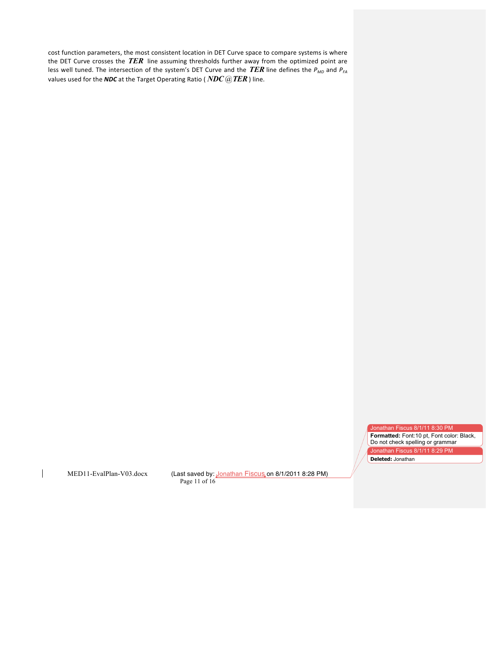cost function parameters, the most consistent location in DET Curve space to compare systems is where the DET Curve crosses the *TER* line assuming thresholds further away from the optimized point are less well tuned. The intersection of the system's DET Curve and the *TER* line defines the  $P_{MD}$  and  $P_{FA}$ values used for the *NDC* at the Target Operating Ratio (  $NDC$  @*TER*) line.

Jonathan Fiscus 8/1/11 8:30 PM

**Formatted:** Font:10 pt, Font color: Black, Do not check spelling or grammar Jonathan Fiscus 8/1/11 8:29 PM **Deleted:** Jonathan

 $\mathbf{I}$ 

MED11-EvalPlan-V03.docx (Last saved by: Jonathan Fiscus on 8/1/2011 8:28 PM) Page 11 of 16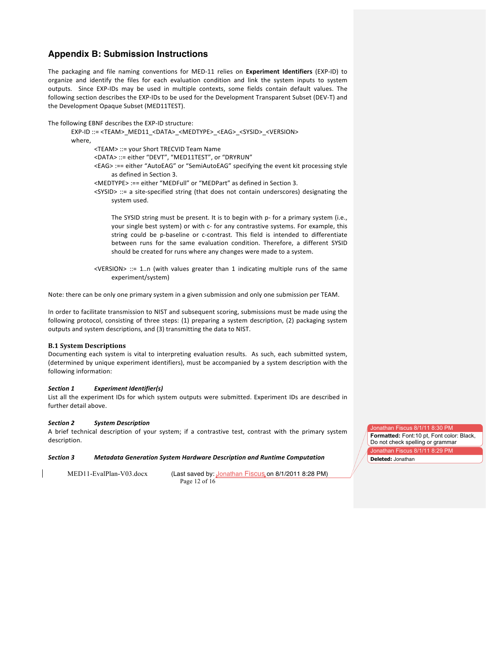# **Appendix B: Submission Instructions**

The packaging and file naming conventions for MED-11 relies on Experiment Identifiers (EXP-ID) to organize and identify the files for each evaluation condition and link the system inputs to system outputs. Since EXP-IDs may be used in multiple contexts, some fields contain default values. The following section describes the EXP-IDs to be used for the Development Transparent Subset (DEV-T) and the Development Opaque Subset (MED11TEST).

The following EBNF describes the EXP-ID structure:

EXP-ID ::= <TEAM> MED11\_<DATA>\_<MEDTYPE>\_<EAG>\_<SYSID>\_<VERSION> where,

<TEAM> ::= your Short TRECVID Team Name

<DATA> ::= either "DEVT", "MED11TEST", or "DRYRUN"

<EAG> :== either "AutoEAG" or "SemiAutoEAG" specifying the event kit processing style as defined in Section 3.

<MEDTYPE> :== either "MEDFull" or "MEDPart" as defined in Section 3.

 $<$ SYSID> ::= a site-specified string (that does not contain underscores) designating the system used.

The SYSID string must be present. It is to begin with p- for a primary system (i.e., your single best system) or with c- for any contrastive systems. For example, this string could be p-baseline or c-contrast. This field is intended to differentiate between runs for the same evaluation condition. Therefore, a different SYSID should be created for runs where any changes were made to a system.

<VERSION> ::= 1..n (with values greater than 1 indicating multiple runs of the same experiment/system)

Note: there can be only one primary system in a given submission and only one submission per TEAM.

In order to facilitate transmission to NIST and subsequent scoring, submissions must be made using the following protocol, consisting of three steps:  $(1)$  preparing a system description,  $(2)$  packaging system outputs and system descriptions, and (3) transmitting the data to NIST.

## **B.1 System Descriptions**

Documenting each system is vital to interpreting evaluation results. As such, each submitted system, (determined by unique experiment identifiers), must be accompanied by a system description with the following information:

## **Section 1 Experiment Identifier(s)**

List all the experiment IDs for which system outputs were submitted. Experiment IDs are described in further detail above.

#### *Section,2 System,Description*

A brief technical description of your system; if a contrastive test, contrast with the primary system description.

#### *Section,3 Metadata,Generation,System,Hardware,Description,and,Runtime,Computation*

MED11-EvalPlan-V03.docx (Last saved by: Jonathan Fiscus on 8/1/2011 8:28 PM) Page 12 of 16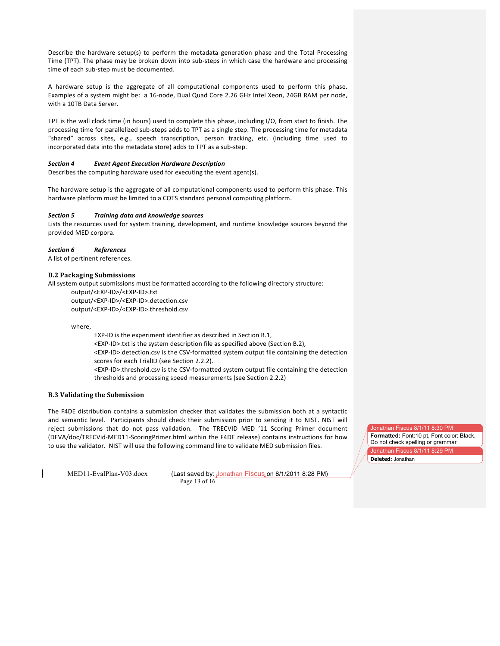Describe the hardware setup(s) to perform the metadata generation phase and the Total Processing Time (TPT). The phase may be broken down into sub-steps in which case the hardware and processing time of each sub-step must be documented.

A hardware setup is the aggregate of all computational components used to perform this phase. Examples of a system might be: a 16-node, Dual Quad Core 2.26 GHz Intel Xeon, 24GB RAM per node, with a 10TB Data Server.

TPT is the wall clock time (in hours) used to complete this phase, including I/O, from start to finish. The processing time for parallelized sub-steps adds to TPT as a single step. The processing time for metadata "shared" across sites, e.g., speech transcription, person tracking, etc. (including time used to incorporated data into the metadata store) adds to TPT as a sub-step.

#### **Section 4 Event Agent Execution Hardware Description**

Describes the computing hardware used for executing the event agent(s).

The hardware setup is the aggregate of all computational components used to perform this phase. This hardware platform must be limited to a COTS standard personal computing platform.

#### *Section,5 Training data,and,knowledge,sources*

Lists the resources used for system training, development, and runtime knowledge sources beyond the provided MED corpora.

#### *Section,6 References*

A list of pertinent references.

#### **B.2 Packaging Submissions**

All system output submissions must be formatted according to the following directory structure: output/<EXP-ID>/<EXP-ID>.txt

output/<EXP-ID>/<EXP-ID>.detection.csv output/<EXP-ID>/<EXP-ID>.threshold.csv

where,

EXP-ID is the experiment identifier as described in Section B.1, <EXP-ID>.txt is the system description file as specified above (Section B.2), <EXP-ID>.detection.csv is the CSV-formatted system output file containing the detection scores for each TrialID (see Section 2.2.2). <EXP-ID>.threshold.csv is the CSV-formatted system output file containing the detection thresholds and processing speed measurements (see Section 2.2.2)

## **B.3 Validating the Submission**

The F4DE distribution contains a submission checker that validates the submission both at a syntactic and semantic level. Participants should check their submission prior to sending it to NIST. NIST will reject submissions that do not pass validation. The TRECVID MED '11 Scoring Primer document (DEVA/doc/TRECVid-MED11-ScoringPrimer.html within the F4DE release) contains instructions for how to use the validator. NIST will use the following command line to validate MED submission files.

MED11-EvalPlan-V03.docx (Last saved by: Jonathan Fiscus on 8/1/2011 8:28 PM) Page 13 of 16

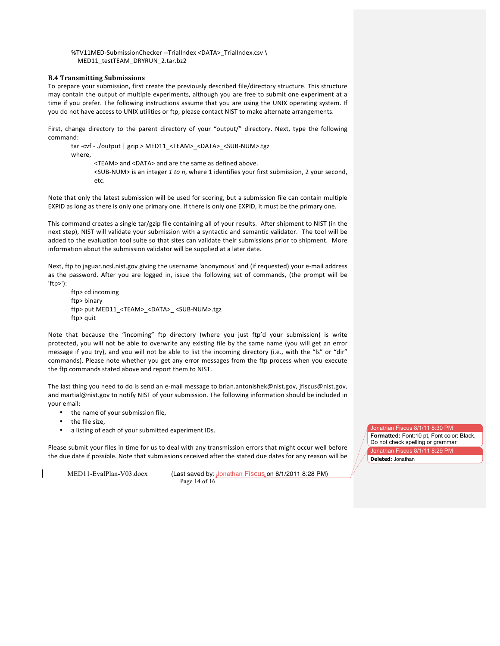%TV11MED-SubmissionChecker --TrialIndex <DATA>\_TrialIndex.csv \ MED11\_testTEAM\_DRYRUN\_2.tar.bz2

#### **B.4 Transmitting Submissions**

To prepare your submission, first create the previously described file/directory structure. This structure may contain the output of multiple experiments, although you are free to submit one experiment at a time if you prefer. The following instructions assume that you are using the UNIX operating system. If you do not have access to UNIX utilities or ftp, please contact NIST to make alternate arrangements.

First, change directory to the parent directory of your "output/" directory. Next, type the following command:

tar -cvf - ./output | gzip > MED11\_<TEAM>\_<DATA>\_<SUB-NUM>.tgz where. <TEAM> and <DATA> and are the same as defined above. <SUB-NUM> is an integer 1 to n, where 1 identifies your first submission, 2 your second, etc.

Note that only the latest submission will be used for scoring, but a submission file can contain multiple EXPID as long as there is only one primary one. If there is only one EXPID, it must be the primary one.

This command creates a single tar/gzip file containing all of your results. After shipment to NIST (in the next step), NIST will validate your submission with a syntactic and semantic validator. The tool will be added to the evaluation tool suite so that sites can validate their submissions prior to shipment. More information about the submission validator will be supplied at a later date.

Next, ftp to jaguar.ncsl.nist.gov giving the username 'anonymous' and (if requested) your e-mail address as the password. After you are logged in, issue the following set of commands, (the prompt will be 'ftp>'):%

ftp> cd incoming ftp> binary ftp> put MED11\_<TEAM>\_<DATA>\_ <SUB-NUM>.tgz ftp> quit

Note that because the "incoming" ftp directory (where you just ftp'd your submission) is write protected, you will not be able to overwrite any existing file by the same name (you will get an error message if you try), and you will not be able to list the incoming directory (i.e., with the "ls" or "dir" commands). Please note whether you get any error messages from the ftp process when you execute the ftp commands stated above and report them to NIST.

The last thing you need to do is send an e-mail message to brian.antonishek@nist.gov, jfiscus@nist.gov, and martial@nist.gov to notify NIST of your submission. The following information should be included in your email:

- the name of your submission file,
- the file size,
- a listing of each of your submitted experiment IDs.

Please submit your files in time for us to deal with any transmission errors that might occur well before the due date if possible. Note that submissions received after the stated due dates for any reason will be

MED11-EvalPlan-V03.docx (Last saved by: Jonathan Fiscus on 8/1/2011 8:28 PM) Page 14 of 16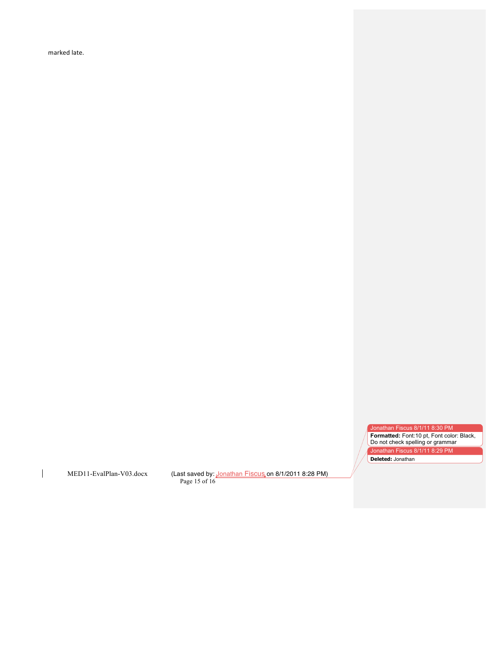marked late.

Jonathan Fiscus 8/1/11 8:30 PM

**Formatted:** Font:10 pt, Font color: Black, Do not check spelling or grammar Jonathan Fiscus 8/1/11 8:29 PM **Deleted:** Jonathan

 $\overline{1}$ 

MED11-EvalPlan-V03.docx (Last saved by: Jonathan Fiscus on 8/1/2011 8:28 PM) Page 15 of 16